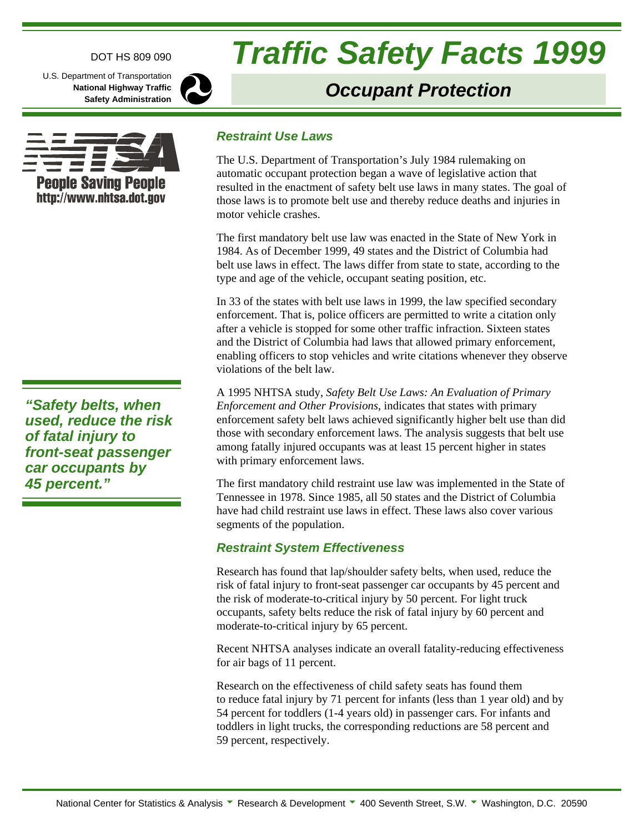#### DOT HS 809 090

U.S. Department of Transportation **National Highway Traffic Safety Administration**

**People Saving People** http://www.nhtsa.dot.gov



# **Traffic Safety Facts 1999**

# **Occupant Protection**

#### **Restraint Use Laws**

The U.S. Department of Transportation's July 1984 rulemaking on automatic occupant protection began a wave of legislative action that resulted in the enactment of safety belt use laws in many states. The goal of those laws is to promote belt use and thereby reduce deaths and injuries in motor vehicle crashes.

The first mandatory belt use law was enacted in the State of New York in 1984. As of December 1999, 49 states and the District of Columbia had belt use laws in effect. The laws differ from state to state, according to the type and age of the vehicle, occupant seating position, etc.

In 33 of the states with belt use laws in 1999, the law specified secondary enforcement. That is, police officers are permitted to write a citation only after a vehicle is stopped for some other traffic infraction. Sixteen states and the District of Columbia had laws that allowed primary enforcement, enabling officers to stop vehicles and write citations whenever they observe violations of the belt law.

A 1995 NHTSA study, *Safety Belt Use Laws: An Evaluation of Primary Enforcement and Other Provisions*, indicates that states with primary enforcement safety belt laws achieved significantly higher belt use than did those with secondary enforcement laws. The analysis suggests that belt use among fatally injured occupants was at least 15 percent higher in states with primary enforcement laws.

The first mandatory child restraint use law was implemented in the State of Tennessee in 1978. Since 1985, all 50 states and the District of Columbia have had child restraint use laws in effect. These laws also cover various segments of the population.

#### **Restraint System Effectiveness**

Research has found that lap/shoulder safety belts, when used, reduce the risk of fatal injury to front-seat passenger car occupants by 45 percent and the risk of moderate-to-critical injury by 50 percent. For light truck occupants, safety belts reduce the risk of fatal injury by 60 percent and moderate-to-critical injury by 65 percent.

Recent NHTSA analyses indicate an overall fatality-reducing effectiveness for air bags of 11 percent.

Research on the effectiveness of child safety seats has found them to reduce fatal injury by 71 percent for infants (less than 1 year old) and by 54 percent for toddlers (1-4 years old) in passenger cars. For infants and toddlers in light trucks, the corresponding reductions are 58 percent and 59 percent, respectively.

**"Safety belts, when used, reduce the risk of fatal injury to front-seat passenger car occupants by 45 percent."**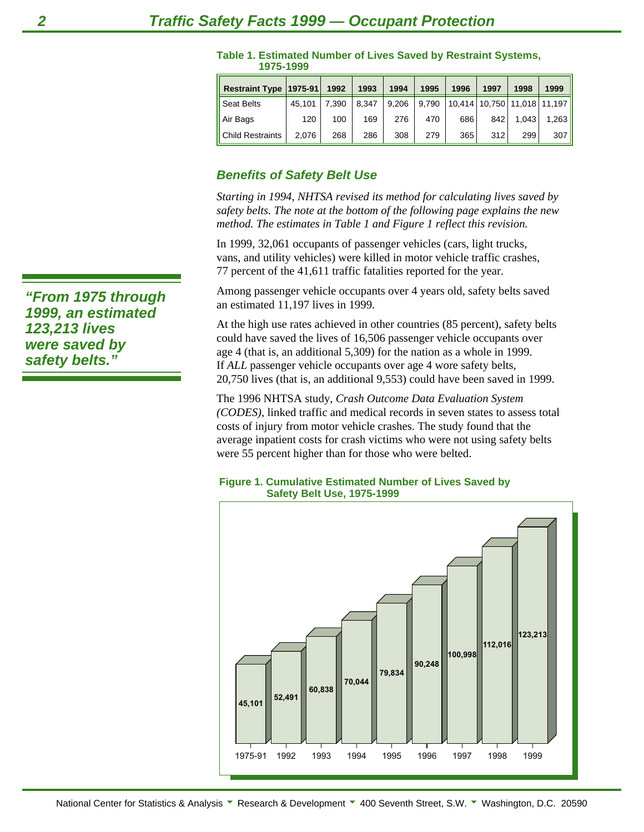| Restraint Type   1975-91 |        | 1992  | 1993  | 1994  | 1995  | 1996 | 1997 | 1998  | 1999                              |
|--------------------------|--------|-------|-------|-------|-------|------|------|-------|-----------------------------------|
| <b>Seat Belts</b>        | 45.101 | 7.390 | 8.347 | 9.206 | 9,790 |      |      |       | 10,414   10,750   11,018   11,197 |
| Air Bags                 | 120    | 100   | 169   | 276   | 470   | 686  | 842  | 1.043 | 1.263                             |
| <b>Child Restraints</b>  | 2.076  | 268   | 286   | 308   | 279   | 365  | 312  | 299   | 307                               |

#### **Table 1. Estimated Number of Lives Saved by Restraint Systems, 1975-1999**

### **Benefits of Safety Belt Use**

*Starting in 1994, NHTSA revised its method for calculating lives saved by safety belts. The note at the bottom of the following page explains the new method. The estimates in Table 1 and Figure 1 reflect this revision.*

In 1999, 32,061 occupants of passenger vehicles (cars, light trucks, vans, and utility vehicles) were killed in motor vehicle traffic crashes, 77 percent of the 41,611 traffic fatalities reported for the year.

Among passenger vehicle occupants over 4 years old, safety belts saved an estimated 11,197 lives in 1999.

At the high use rates achieved in other countries (85 percent), safety belts could have saved the lives of 16,506 passenger vehicle occupants over age 4 (that is, an additional 5,309) for the nation as a whole in 1999. If *ALL* passenger vehicle occupants over age 4 wore safety belts, 20,750 lives (that is, an additional 9,553) could have been saved in 1999.

The 1996 NHTSA study, *Crash Outcome Data Evaluation System (CODES)*, linked traffic and medical records in seven states to assess total costs of injury from motor vehicle crashes. The study found that the average inpatient costs for crash victims who were not using safety belts were 55 percent higher than for those who were belted.

#### **Figure 1. Cumulative Estimated Number of Lives Saved by Safety Belt Use, 1975-1999**



**"From 1975 through 1999, an estimated 123,213 lives were saved by safety belts."**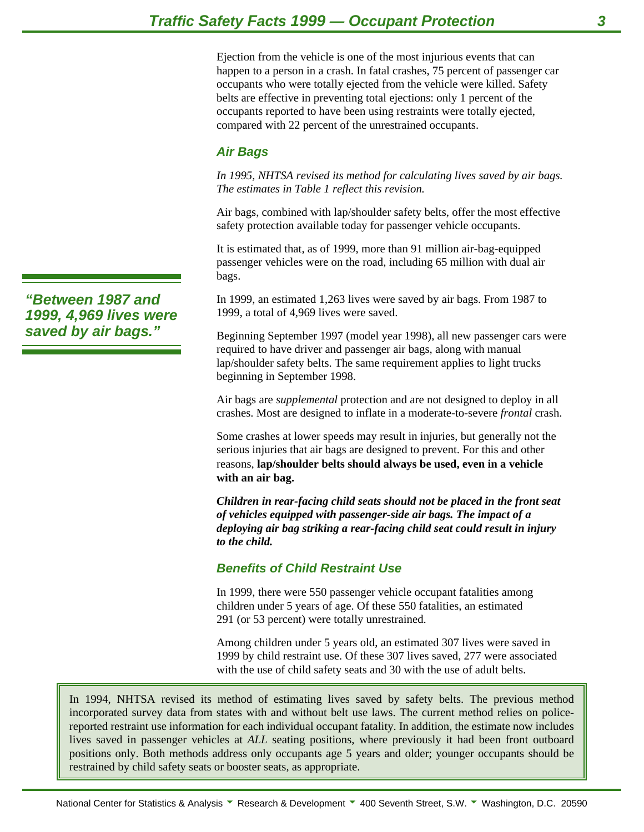Ejection from the vehicle is one of the most injurious events that can happen to a person in a crash. In fatal crashes, 75 percent of passenger car occupants who were totally ejected from the vehicle were killed. Safety belts are effective in preventing total ejections: only 1 percent of the occupants reported to have been using restraints were totally ejected, compared with 22 percent of the unrestrained occupants.

# **Air Bags**

*In 1995, NHTSA revised its method for calculating lives saved by air bags. The estimates in Table 1 reflect this revision.*

Air bags, combined with lap/shoulder safety belts, offer the most effective safety protection available today for passenger vehicle occupants.

It is estimated that, as of 1999, more than 91 million air-bag-equipped passenger vehicles were on the road, including 65 million with dual air bags.

In 1999, an estimated 1,263 lives were saved by air bags. From 1987 to 1999, a total of 4,969 lives were saved.

Beginning September 1997 (model year 1998), all new passenger cars were required to have driver and passenger air bags, along with manual lap/shoulder safety belts. The same requirement applies to light trucks beginning in September 1998.

Air bags are *supplemental* protection and are not designed to deploy in all crashes. Most are designed to inflate in a moderate-to-severe *frontal* crash.

Some crashes at lower speeds may result in injuries, but generally not the serious injuries that air bags are designed to prevent. For this and other reasons, **lap/shoulder belts should always be used, even in a vehicle with an air bag.**

*Children in rear-facing child seats should not be placed in the front seat of vehicles equipped with passenger-side air bags. The impact of a deploying air bag striking a rear-facing child seat could result in injury to the child.*

# **Benefits of Child Restraint Use**

In 1999, there were 550 passenger vehicle occupant fatalities among children under 5 years of age. Of these 550 fatalities, an estimated 291 (or 53 percent) were totally unrestrained.

Among children under 5 years old, an estimated 307 lives were saved in 1999 by child restraint use. Of these 307 lives saved, 277 were associated with the use of child safety seats and 30 with the use of adult belts.

In 1994, NHTSA revised its method of estimating lives saved by safety belts. The previous method incorporated survey data from states with and without belt use laws. The current method relies on policereported restraint use information for each individual occupant fatality. In addition, the estimate now includes lives saved in passenger vehicles at *ALL* seating positions, where previously it had been front outboard positions only. Both methods address only occupants age 5 years and older; younger occupants should be restrained by child safety seats or booster seats, as appropriate.

**"Between 1987 and 1999, 4,969 lives were saved by air bags."**